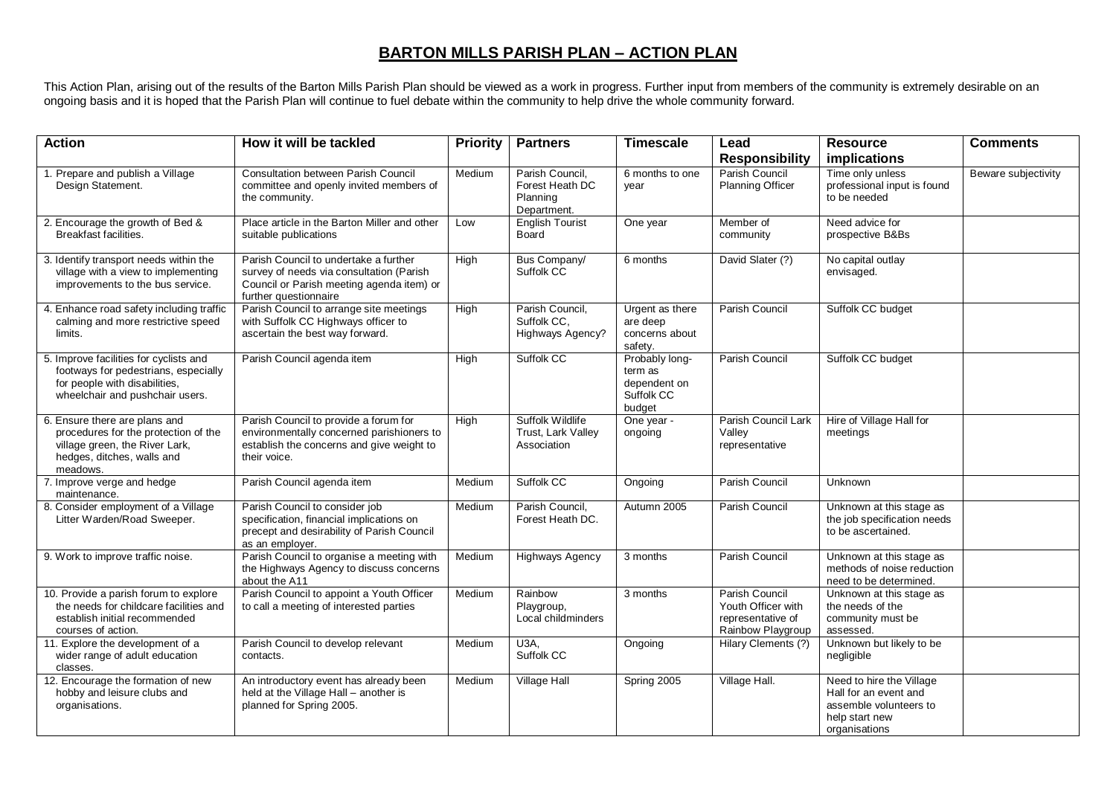## **BARTON MILLS PARISH PLAN – ACTION PLAN**

This Action Plan, arising out of the results of the Barton Mills Parish Plan should be viewed as a work in progress. Further input from members of the community is extremely desirable on an ongoing basis and it is hoped that the Parish Plan will continue to fuel debate within the community to help drive the whole community forward.

| <b>Action</b>                                                                                                                                      | How it will be tackled                                                                                                                                  | <b>Priority</b> | <b>Partners</b>                                               | <b>Timescale</b>                                                  | Lead                                                                           | <b>Resource</b>                                                                                                | <b>Comments</b>     |
|----------------------------------------------------------------------------------------------------------------------------------------------------|---------------------------------------------------------------------------------------------------------------------------------------------------------|-----------------|---------------------------------------------------------------|-------------------------------------------------------------------|--------------------------------------------------------------------------------|----------------------------------------------------------------------------------------------------------------|---------------------|
| 1. Prepare and publish a Village<br>Design Statement.                                                                                              | <b>Consultation between Parish Council</b><br>committee and openly invited members of<br>the community.                                                 | Medium          | Parish Council,<br>Forest Heath DC<br>Planning<br>Department. | 6 months to one<br>year                                           | <b>Responsibility</b><br>Parish Council<br><b>Planning Officer</b>             | implications<br>Time only unless<br>professional input is found<br>to be needed                                | Beware subjectivity |
| 2. Encourage the growth of Bed &<br>Breakfast facilities.                                                                                          | Place article in the Barton Miller and other<br>suitable publications                                                                                   | Low             | <b>English Tourist</b><br>Board                               | One year                                                          | Member of<br>community                                                         | Need advice for<br>prospective B&Bs                                                                            |                     |
| 3. Identify transport needs within the<br>village with a view to implementing<br>improvements to the bus service.                                  | Parish Council to undertake a further<br>survey of needs via consultation (Parish<br>Council or Parish meeting agenda item) or<br>further questionnaire | High            | Bus Company/<br>Suffolk CC                                    | 6 months                                                          | David Slater (?)                                                               | No capital outlay<br>envisaged.                                                                                |                     |
| 4. Enhance road safety including traffic<br>calming and more restrictive speed<br>limits.                                                          | Parish Council to arrange site meetings<br>with Suffolk CC Highways officer to<br>ascertain the best way forward.                                       | High            | Parish Council,<br>Suffolk CC.<br>Highways Agency?            | Urgent as there<br>are deep<br>concerns about<br>safety.          | Parish Council                                                                 | Suffolk CC budget                                                                                              |                     |
| 5. Improve facilities for cyclists and<br>footways for pedestrians, especially<br>for people with disabilities,<br>wheelchair and pushchair users. | Parish Council agenda item                                                                                                                              | High            | Suffolk CC                                                    | Probably long-<br>term as<br>dependent on<br>Suffolk CC<br>budget | Parish Council                                                                 | Suffolk CC budget                                                                                              |                     |
| 6. Ensure there are plans and<br>procedures for the protection of the<br>village green, the River Lark,<br>hedges, ditches, walls and<br>meadows.  | Parish Council to provide a forum for<br>environmentally concerned parishioners to<br>establish the concerns and give weight to<br>their voice.         | High            | Suffolk Wildlife<br>Trust, Lark Valley<br>Association         | One year -<br>ongoing                                             | Parish Council Lark<br>Valley<br>representative                                | Hire of Village Hall for<br>meetings                                                                           |                     |
| 7. Improve verge and hedge<br>maintenance.                                                                                                         | Parish Council agenda item                                                                                                                              | Medium          | Suffolk CC                                                    | Ongoing                                                           | Parish Council                                                                 | Unknown                                                                                                        |                     |
| 8. Consider employment of a Village<br>Litter Warden/Road Sweeper.                                                                                 | Parish Council to consider job<br>specification, financial implications on<br>precept and desirability of Parish Council<br>as an employer.             | Medium          | Parish Council,<br>Forest Heath DC.                           | Autumn 2005                                                       | Parish Council                                                                 | Unknown at this stage as<br>the job specification needs<br>to be ascertained.                                  |                     |
| 9. Work to improve traffic noise.                                                                                                                  | Parish Council to organise a meeting with<br>the Highways Agency to discuss concerns<br>about the A11                                                   | Medium          | <b>Highways Agency</b>                                        | 3 months                                                          | Parish Council                                                                 | Unknown at this stage as<br>methods of noise reduction<br>need to be determined.                               |                     |
| 10. Provide a parish forum to explore<br>the needs for childcare facilities and<br>establish initial recommended<br>courses of action.             | Parish Council to appoint a Youth Officer<br>to call a meeting of interested parties                                                                    | Medium          | Rainbow<br>Playgroup,<br>Local childminders                   | 3 months                                                          | Parish Council<br>Youth Officer with<br>representative of<br>Rainbow Playgroup | Unknown at this stage as<br>the needs of the<br>community must be<br>assessed.                                 |                     |
| 11. Explore the development of a<br>wider range of adult education<br>classes.                                                                     | Parish Council to develop relevant<br>contacts.                                                                                                         | Medium          | U3A.<br>Suffolk CC                                            | Ongoing                                                           | Hilary Clements (?)                                                            | Unknown but likely to be<br>negligible                                                                         |                     |
| 12. Encourage the formation of new<br>hobby and leisure clubs and<br>organisations.                                                                | An introductory event has already been<br>held at the Village Hall - another is<br>planned for Spring 2005.                                             | Medium          | Village Hall                                                  | Spring 2005                                                       | Village Hall.                                                                  | Need to hire the Village<br>Hall for an event and<br>assemble volunteers to<br>help start new<br>organisations |                     |